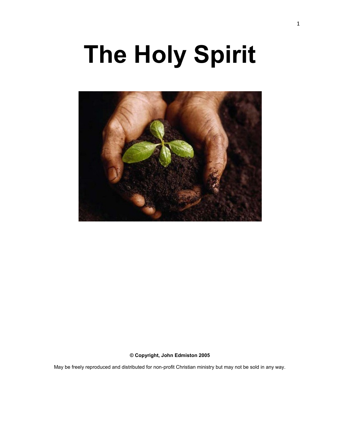# **The Holy Spirit**



**© Copyright, John Edmiston 2005**

May be freely reproduced and distributed for non-profit Christian ministry but may not be sold in any way.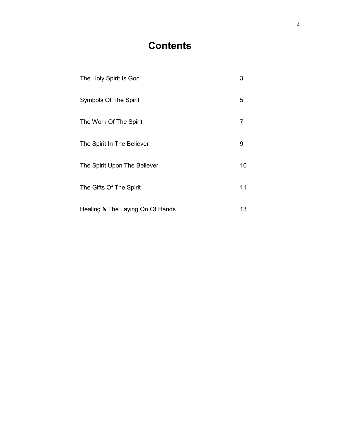# **Contents**

| The Holy Spirit Is God           | 3  |
|----------------------------------|----|
| <b>Symbols Of The Spirit</b>     | 5  |
| The Work Of The Spirit           | 7  |
| The Spirit In The Believer       | 9  |
| The Spirit Upon The Believer     | 10 |
| The Gifts Of The Spirit          | 11 |
| Healing & The Laying On Of Hands | 13 |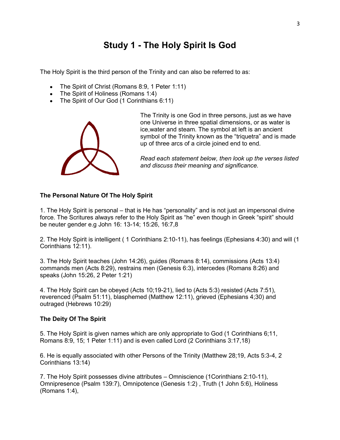# **Study 1 - The Holy Spirit Is God**

The Holy Spirit is the third person of the Trinity and can also be referred to as:

- The Spirit of Christ (Romans 8:9, 1 Peter 1:11)
- The Spirit of Holiness (Romans 1:4)
- The Spirit of Our God (1 Corinthians 6:11)



The Trinity is one God in three persons, just as we have one Universe in three spatial dimensions, or as water is ice,water and steam. The symbol at left is an ancient symbol of the Trinity known as the "triquetra" and is made up of three arcs of a circle joined end to end.

*Read each statement below, then look up the verses listed and discuss their meaning and significance.*

#### **The Personal Nature Of The Holy Spirit**

1. The Holy Spirit is personal – that is He has "personality" and is not just an impersonal divine force. The Scritures always refer to the Holy Spirit as "he" even though in Greek "spirit" should be neuter gender e.g John 16: 13-14; 15:26, 16:7,8

2. The Holy Spirit is intelligent ( 1 Corinthians 2:10-11), has feelings (Ephesians 4:30) and will (1 Corinthians 12:11).

3. The Holy Spirit teaches (John 14:26), guides (Romans 8:14), commissions (Acts 13:4) commands men (Acts 8:29), restrains men (Genesis 6:3), intercedes (Romans 8:26) and speaks (John 15:26, 2 Peter 1:21)

4. The Holy Spirit can be obeyed (Acts 10;19-21), lied to (Acts 5:3) resisted (Acts 7:51), reverenced (Psalm 51:11), blasphemed (Matthew 12:11), grieved (Ephesians 4;30) and outraged (Hebrews 10:29)

#### **The Deity Of The Spirit**

5. The Holy Spirit is given names which are only appropriate to God (1 Corinthians 6;11, Romans 8:9, 15; 1 Peter 1:11) and is even called Lord (2 Corinthians 3:17,18)

6. He is equally associated with other Persons of the Trinity (Matthew 28;19, Acts 5:3-4, 2 Corinthians 13:14)

7. The Holy Spirit possesses divine attributes – Omniscience (1Corinthians 2:10-11), Omnipresence (Psalm 139:7), Omnipotence (Genesis 1:2) , Truth (1 John 5:6), Holiness (Romans 1:4),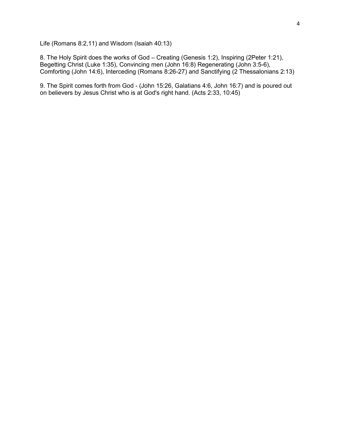Life (Romans 8:2,11) and Wisdom (Isaiah 40:13)

8. The Holy Spirit does the works of God – Creating (Genesis 1:2), Inspiring (2Peter 1:21), Begetting Christ (Luke 1:35), Convincing men (John 16:8) Regenerating (John 3:5-6), Comforting (John 14:6), Interceding (Romans 8:26-27) and Sanctifying (2 Thessalonians 2:13)

9. The Spirit comes forth from God - (John 15:26, Galatians 4:6, John 16:7) and is poured out on believers by Jesus Christ who is at God's right hand. (Acts 2:33, 10:45)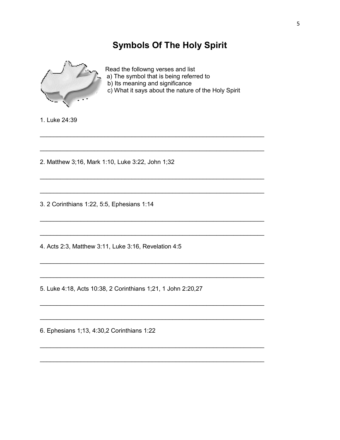# **Symbols Of The Holy Spirit**



Read the followng verses and list a) The symbol that is being referred to b) Its meaning and significance

c) What it says about the nature of the Holy Spirit

1. Luke 24:39

2. Matthew 3;16, Mark 1:10, Luke 3:22, John 1;32

3. 2 Corinthians 1:22, 5:5, Ephesians 1:14

4. Acts 2:3, Matthew 3:11, Luke 3:16, Revelation 4:5

5. Luke 4:18, Acts 10:38, 2 Corinthians 1;21, 1 John 2:20,27

6. Ephesians 1;13, 4:30,2 Corinthians 1:22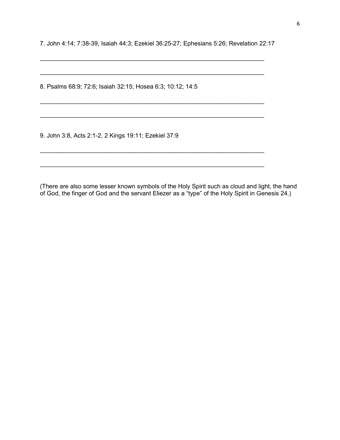7. John 4:14; 7:38-39, Isaiah 44:3; Ezekiel 36:25-27; Ephesians 5:26; Revelation 22:17

\_\_\_\_\_\_\_\_\_\_\_\_\_\_\_\_\_\_\_\_\_\_\_\_\_\_\_\_\_\_\_\_\_\_\_\_\_\_\_\_\_\_\_\_\_\_\_\_\_\_\_\_\_\_\_\_\_\_\_\_\_\_\_\_\_\_

\_\_\_\_\_\_\_\_\_\_\_\_\_\_\_\_\_\_\_\_\_\_\_\_\_\_\_\_\_\_\_\_\_\_\_\_\_\_\_\_\_\_\_\_\_\_\_\_\_\_\_\_\_\_\_\_\_\_\_\_\_\_\_\_\_\_

\_\_\_\_\_\_\_\_\_\_\_\_\_\_\_\_\_\_\_\_\_\_\_\_\_\_\_\_\_\_\_\_\_\_\_\_\_\_\_\_\_\_\_\_\_\_\_\_\_\_\_\_\_\_\_\_\_\_\_\_\_\_\_\_\_\_

\_\_\_\_\_\_\_\_\_\_\_\_\_\_\_\_\_\_\_\_\_\_\_\_\_\_\_\_\_\_\_\_\_\_\_\_\_\_\_\_\_\_\_\_\_\_\_\_\_\_\_\_\_\_\_\_\_\_\_\_\_\_\_\_\_\_

\_\_\_\_\_\_\_\_\_\_\_\_\_\_\_\_\_\_\_\_\_\_\_\_\_\_\_\_\_\_\_\_\_\_\_\_\_\_\_\_\_\_\_\_\_\_\_\_\_\_\_\_\_\_\_\_\_\_\_\_\_\_\_\_\_\_

\_\_\_\_\_\_\_\_\_\_\_\_\_\_\_\_\_\_\_\_\_\_\_\_\_\_\_\_\_\_\_\_\_\_\_\_\_\_\_\_\_\_\_\_\_\_\_\_\_\_\_\_\_\_\_\_\_\_\_\_\_\_\_\_\_\_

8. Psalms 68:9; 72:6; Isaiah 32:15; Hosea 6:3; 10:12; 14:5

9. John 3:8, Acts 2:1-2, 2 Kings 19:11; Ezekiel 37:9

(There are also some lesser known symbols of the Holy Spirit such as cloud and light, the hand of God, the finger of God and the servant Eliezer as a "type" of the Holy Spirit in Genesis 24.)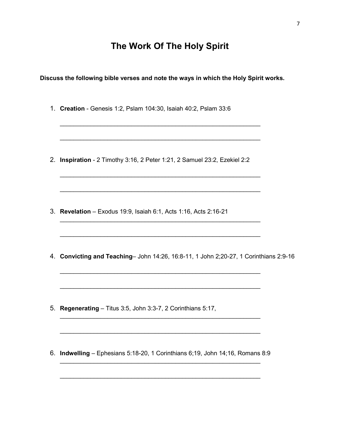# **The Work Of The Holy Spirit**

**Discuss the following bible verses and note the ways in which the Holy Spirit works.**

\_\_\_\_\_\_\_\_\_\_\_\_\_\_\_\_\_\_\_\_\_\_\_\_\_\_\_\_\_\_\_\_\_\_\_\_\_\_\_\_\_\_\_\_\_\_\_\_\_\_\_\_\_\_\_\_\_\_\_

\_\_\_\_\_\_\_\_\_\_\_\_\_\_\_\_\_\_\_\_\_\_\_\_\_\_\_\_\_\_\_\_\_\_\_\_\_\_\_\_\_\_\_\_\_\_\_\_\_\_\_\_\_\_\_\_\_\_\_

\_\_\_\_\_\_\_\_\_\_\_\_\_\_\_\_\_\_\_\_\_\_\_\_\_\_\_\_\_\_\_\_\_\_\_\_\_\_\_\_\_\_\_\_\_\_\_\_\_\_\_\_\_\_\_\_\_\_\_

\_\_\_\_\_\_\_\_\_\_\_\_\_\_\_\_\_\_\_\_\_\_\_\_\_\_\_\_\_\_\_\_\_\_\_\_\_\_\_\_\_\_\_\_\_\_\_\_\_\_\_\_\_\_\_\_\_\_\_

\_\_\_\_\_\_\_\_\_\_\_\_\_\_\_\_\_\_\_\_\_\_\_\_\_\_\_\_\_\_\_\_\_\_\_\_\_\_\_\_\_\_\_\_\_\_\_\_\_\_\_\_\_\_\_\_\_\_\_

\_\_\_\_\_\_\_\_\_\_\_\_\_\_\_\_\_\_\_\_\_\_\_\_\_\_\_\_\_\_\_\_\_\_\_\_\_\_\_\_\_\_\_\_\_\_\_\_\_\_\_\_\_\_\_\_\_\_\_

\_\_\_\_\_\_\_\_\_\_\_\_\_\_\_\_\_\_\_\_\_\_\_\_\_\_\_\_\_\_\_\_\_\_\_\_\_\_\_\_\_\_\_\_\_\_\_\_\_\_\_\_\_\_\_\_\_\_\_

\_\_\_\_\_\_\_\_\_\_\_\_\_\_\_\_\_\_\_\_\_\_\_\_\_\_\_\_\_\_\_\_\_\_\_\_\_\_\_\_\_\_\_\_\_\_\_\_\_\_\_\_\_\_\_\_\_\_\_

\_\_\_\_\_\_\_\_\_\_\_\_\_\_\_\_\_\_\_\_\_\_\_\_\_\_\_\_\_\_\_\_\_\_\_\_\_\_\_\_\_\_\_\_\_\_\_\_\_\_\_\_\_\_\_\_\_\_\_

\_\_\_\_\_\_\_\_\_\_\_\_\_\_\_\_\_\_\_\_\_\_\_\_\_\_\_\_\_\_\_\_\_\_\_\_\_\_\_\_\_\_\_\_\_\_\_\_\_\_\_\_\_\_\_\_\_\_\_

1. **Creation** - Genesis 1:2, Pslam 104:30, Isaiah 40:2, Pslam 33:6

2. **Inspiration** - 2 Timothy 3:16, 2 Peter 1:21, 2 Samuel 23:2, Ezekiel 2:2

- 3. **Revelation**  Exodus 19:9, Isaiah 6:1, Acts 1:16, Acts 2:16-21
- 4. **Convicting and Teaching** John 14:26, 16:8-11, 1 John 2;20-27, 1 Corinthians 2:9-16

- 5. **Regenerating** Titus 3:5, John 3:3-7, 2 Corinthians 5:17,
- 6. **Indwelling** Ephesians 5:18-20, 1 Corinthians 6;19, John 14;16, Romans 8:9 \_\_\_\_\_\_\_\_\_\_\_\_\_\_\_\_\_\_\_\_\_\_\_\_\_\_\_\_\_\_\_\_\_\_\_\_\_\_\_\_\_\_\_\_\_\_\_\_\_\_\_\_\_\_\_\_\_\_\_

\_\_\_\_\_\_\_\_\_\_\_\_\_\_\_\_\_\_\_\_\_\_\_\_\_\_\_\_\_\_\_\_\_\_\_\_\_\_\_\_\_\_\_\_\_\_\_\_\_\_\_\_\_\_\_\_\_\_\_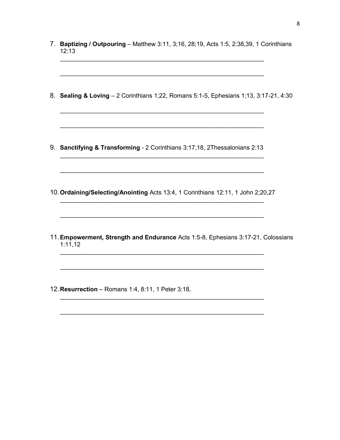- 7. **Baptizing / Outpouring** Matthew 3:11, 3;16, 28;19, Acts 1:5, 2:38,39, 1 Corinthians 12:13 \_\_\_\_\_\_\_\_\_\_\_\_\_\_\_\_\_\_\_\_\_\_\_\_\_\_\_\_\_\_\_\_\_\_\_\_\_\_\_\_\_\_\_\_\_\_\_\_\_\_\_\_\_\_\_\_\_\_\_\_
- 8. **Sealing & Loving** 2 Corinthians 1;22, Romans 5:1-5, Ephesians 1;13, 3:17-21, 4:30

\_\_\_\_\_\_\_\_\_\_\_\_\_\_\_\_\_\_\_\_\_\_\_\_\_\_\_\_\_\_\_\_\_\_\_\_\_\_\_\_\_\_\_\_\_\_\_\_\_\_\_\_\_\_\_\_\_\_\_\_

\_\_\_\_\_\_\_\_\_\_\_\_\_\_\_\_\_\_\_\_\_\_\_\_\_\_\_\_\_\_\_\_\_\_\_\_\_\_\_\_\_\_\_\_\_\_\_\_\_\_\_\_\_\_\_\_\_\_\_\_

\_\_\_\_\_\_\_\_\_\_\_\_\_\_\_\_\_\_\_\_\_\_\_\_\_\_\_\_\_\_\_\_\_\_\_\_\_\_\_\_\_\_\_\_\_\_\_\_\_\_\_\_\_\_\_\_\_\_\_\_

\_\_\_\_\_\_\_\_\_\_\_\_\_\_\_\_\_\_\_\_\_\_\_\_\_\_\_\_\_\_\_\_\_\_\_\_\_\_\_\_\_\_\_\_\_\_\_\_\_\_\_\_\_\_\_\_\_\_\_\_

\_\_\_\_\_\_\_\_\_\_\_\_\_\_\_\_\_\_\_\_\_\_\_\_\_\_\_\_\_\_\_\_\_\_\_\_\_\_\_\_\_\_\_\_\_\_\_\_\_\_\_\_\_\_\_\_\_\_\_\_

- 9. **Sanctifying & Transforming** 2 Corinthians 3:17,18, 2Thessalonians 2:13
- 10.**Ordaining/Selecting/Anointing** Acts 13:4, 1 Corinthians 12:11, 1 John 2;20,27 \_\_\_\_\_\_\_\_\_\_\_\_\_\_\_\_\_\_\_\_\_\_\_\_\_\_\_\_\_\_\_\_\_\_\_\_\_\_\_\_\_\_\_\_\_\_\_\_\_\_\_\_\_\_\_\_\_\_\_\_

\_\_\_\_\_\_\_\_\_\_\_\_\_\_\_\_\_\_\_\_\_\_\_\_\_\_\_\_\_\_\_\_\_\_\_\_\_\_\_\_\_\_\_\_\_\_\_\_\_\_\_\_\_\_\_\_\_\_\_\_

\_\_\_\_\_\_\_\_\_\_\_\_\_\_\_\_\_\_\_\_\_\_\_\_\_\_\_\_\_\_\_\_\_\_\_\_\_\_\_\_\_\_\_\_\_\_\_\_\_\_\_\_\_\_\_\_\_\_\_\_

\_\_\_\_\_\_\_\_\_\_\_\_\_\_\_\_\_\_\_\_\_\_\_\_\_\_\_\_\_\_\_\_\_\_\_\_\_\_\_\_\_\_\_\_\_\_\_\_\_\_\_\_\_\_\_\_\_\_\_\_

\_\_\_\_\_\_\_\_\_\_\_\_\_\_\_\_\_\_\_\_\_\_\_\_\_\_\_\_\_\_\_\_\_\_\_\_\_\_\_\_\_\_\_\_\_\_\_\_\_\_\_\_\_\_\_\_\_\_\_\_

\_\_\_\_\_\_\_\_\_\_\_\_\_\_\_\_\_\_\_\_\_\_\_\_\_\_\_\_\_\_\_\_\_\_\_\_\_\_\_\_\_\_\_\_\_\_\_\_\_\_\_\_\_\_\_\_\_\_\_\_

- 11.**Empowerment, Strength and Endurance** Acts 1:5-8, Ephesians 3:17-21, Colossians 1:11,12
- 12.**Resurrection** Romans 1:4, 8:11, 1 Peter 3:18,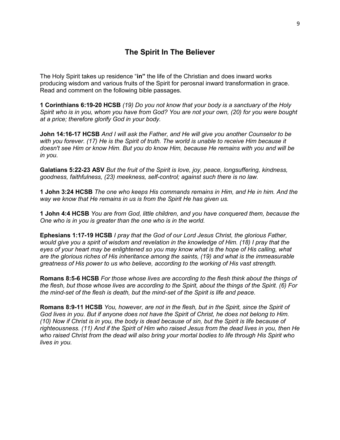#### **The Spirit In The Believer**

The Holy Spirit takes up residence "**in"** the life of the Christian and does inward works producing wisdom and various fruits of the Spirit for perosnal inward transformation in grace. Read and comment on the following bible passages.

**1 Corinthians 6:19-20 HCSB** *(19) Do you not know that your body is a sanctuary of the Holy Spirit who is in you, whom you have from God? You are not your own, (20) for you were bought at a price; therefore glorify God in your body.*

**John 14:16-17 HCSB** *And I will ask the Father, and He will give you another Counselor to be with you forever. (17) He is the Spirit of truth. The world is unable to receive Him because it doesn't see Him or know Him. But you do know Him, because He remains with you and will be in you.*

**Galatians 5:22-23 ASV** *But the fruit of the Spirit is love, joy, peace, longsuffering, kindness, goodness, faithfulness, (23) meekness, self-control; against such there is no law.*

**1 John 3:24 HCSB** *The one who keeps His commands remains in Him, and He in him. And the way we know that He remains in us is from the Spirit He has given us.*

**1 John 4:4 HCSB** *You are from God, little children, and you have conquered them, because the One who is in you is greater than the one who is in the world.*

**Ephesians 1:17-19 HCSB** *I pray that the God of our Lord Jesus Christ, the glorious Father, would give you a spirit of wisdom and revelation in the knowledge of Him. (18) I pray that the eyes of your heart may be enlightened so you may know what is the hope of His calling, what are the glorious riches of His inheritance among the saints, (19) and what is the immeasurable greatness of His power to us who believe, according to the working of His vast strength.*

**Romans 8:5-6 HCSB** *For those whose lives are according to the flesh think about the things of the flesh, but those whose lives are according to the Spirit, about the things of the Spirit. (6) For the mind-set of the flesh is death, but the mind-set of the Spirit is life and peace.* 

**Romans 8:9-11 HCSB** *You, however, are not in the flesh, but in the Spirit, since the Spirit of God lives in you. But if anyone does not have the Spirit of Christ, he does not belong to Him. (10) Now if Christ is in you, the body is dead because of sin, but the Spirit is life because of righteousness. (11) And if the Spirit of Him who raised Jesus from the dead lives in you, then He who raised Christ from the dead will also bring your mortal bodies to life through His Spirit who lives in you.*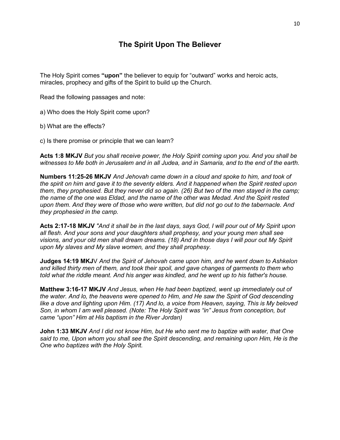#### **The Spirit Upon The Believer**

The Holy Spirit comes **"upon"** the believer to equip for "outward" works and heroic acts, miracles, prophecy and gifts of the Spirit to build up the Church.

Read the following passages and note:

a) Who does the Holy Spirit come upon?

b) What are the effects?

c) Is there promise or principle that we can learn?

**Acts 1:8 MKJV** *But you shall receive power, the Holy Spirit coming upon you. And you shall be witnesses to Me both in Jerusalem and in all Judea, and in Samaria, and to the end of the earth.*

**Numbers 11:25-26 MKJV** *And Jehovah came down in a cloud and spoke to him, and took of the spirit on him and gave it to the seventy elders. And it happened when the Spirit rested upon them, they prophesied. But they never did so again. (26) But two of the men stayed in the camp; the name of the one was Eldad, and the name of the other was Medad. And the Spirit rested upon them. And they were of those who were written, but did not go out to the tabernacle. And they prophesied in the camp.*

**Acts 2:17-18 MKJV** *"And it shall be in the last days, says God, I will pour out of My Spirit upon all flesh. And your sons and your daughters shall prophesy, and your young men shall see visions, and your old men shall dream dreams. (18) And in those days I will pour out My Spirit upon My slaves and My slave women, and they shall prophesy.*

**Judges 14:19 MKJ**V *And the Spirit of Jehovah came upon him, and he went down to Ashkelon and killed thirty men of them, and took their spoil, and gave changes of garments to them who told what the riddle meant. And his anger was kindled, and he went up to his father's house.*

**Matthew 3:16-17 MKJV** *And Jesus, when He had been baptized, went up immediately out of the water. And lo, the heavens were opened to Him, and He saw the Spirit of God descending like a dove and lighting upon Him. (17) And lo, a voice from Heaven, saying, This is My beloved Son, in whom I am well pleased. (Note: The Holy Spirit was "in" Jesus from conception, but came "upon" Him at His baptism in the River Jordan)*

**John 1:33 MKJV** *And I did not know Him, but He who sent me to baptize with water, that One said to me, Upon whom you shall see the Spirit descending, and remaining upon Him, He is the One who baptizes with the Holy Spirit.*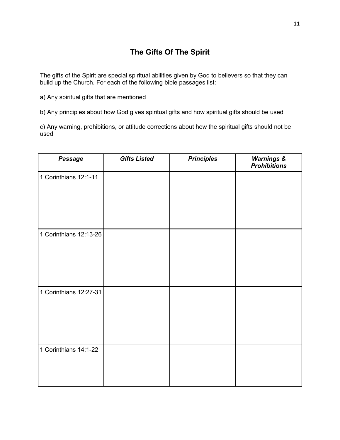## **The Gifts Of The Spirit**

The gifts of the Spirit are special spiritual abilities given by God to believers so that they can build up the Church. For each of the following bible passages list:

a) Any spiritual gifts that are mentioned

b) Any principles about how God gives spiritual gifts and how spiritual gifts should be used

c) Any warning, prohibitions, or attitude corrections about how the spiritual gifts should not be used

| Passage                | <b>Gifts Listed</b> | <b>Principles</b> | <b>Warnings &amp;</b><br><b>Prohibitions</b> |
|------------------------|---------------------|-------------------|----------------------------------------------|
| 1 Corinthians 12:1-11  |                     |                   |                                              |
| 1 Corinthians 12:13-26 |                     |                   |                                              |
| 1 Corinthians 12:27-31 |                     |                   |                                              |
| 1 Corinthians 14:1-22  |                     |                   |                                              |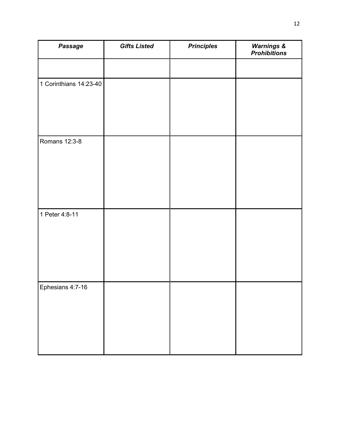| Passage                | <b>Gifts Listed</b> | <b>Principles</b> | <b>Warnings &amp;</b><br><b>Prohibitions</b> |
|------------------------|---------------------|-------------------|----------------------------------------------|
|                        |                     |                   |                                              |
| 1 Corinthians 14:23-40 |                     |                   |                                              |
| Romans 12:3-8          |                     |                   |                                              |
| 1 Peter 4:8-11         |                     |                   |                                              |
| Ephesians 4:7-16       |                     |                   |                                              |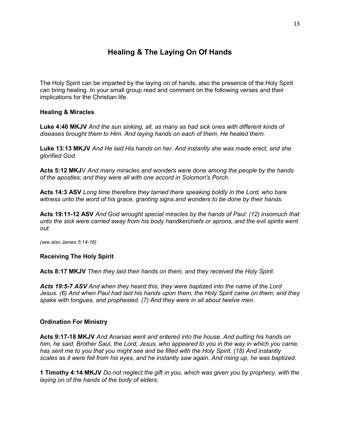## **Healing & The Laying On Of Hands**

The Holy Spirit can be imparted by the laying on of hands, also the presence of the Holy Spirit can bring healing. In your small group read and comment on the following verses and their implications for the Christian life.

#### **Healing & Miracles**

**Luke 4:40 MKJV** *And the sun sinking, all, as many as had sick ones with different kinds of diseases brought them to Him. And laying hands on each of them, He healed them.*

**Luke 13:13 MKJV** *And He laid His hands on her. And instantly she was made erect, and she glorified God.*

**Acts 5:12 MKJ**V *And many miracles and wonders were done among the people by the hands of the apostles; and they were all with one accord in Solomon's Porch.*

**Acts 14:3 ASV** *Long time therefore they tarried there speaking boldly in the Lord, who bare witness unto the word of his grace, granting signs and wonders to be done by their hands.*

**Acts 19:11-12 ASV** *And God wrought special miracles by the hands of Paul: (12) insomuch that unto the sick were carried away from his body handkerchiefs or aprons, and the evil spirits went out.*

*(see also James 5:14-16)*

#### **Receiving The Holy Spirit**

**Acts 8:17 MKJV** *Then they laid their hands on them, and they received the Holy Spirit.*

*Acts 19:5-7 ASV And when they heard this, they were baptized into the name of the Lord Jesus. (6) And when Paul had laid his hands upon them, the Holy Spirit came on them; and they spake with tongues, and prophesied. (7) And they were in all about twelve men.*

#### **Ordination For Ministry**

**Acts 9:17-18 MKJV** *And Ananias went and entered into the house. And putting his hands on him, he said, Brother Saul, the Lord, Jesus, who appeared to you in the way in which you came, has sent me to you that you might see and be filled with the Holy Spirit. (18) And instantly scales as it were fell from his eyes, and he instantly saw again. And rising up, he was baptized.*

**1 Timothy 4:14 MKJV** *Do not neglect the gift in you, which was given you by prophecy, with the laying on of the hands of the body of elders.*